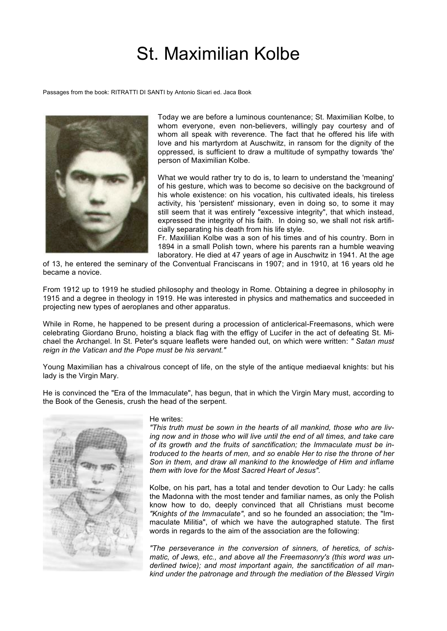## St. Maximilian Kolbe

Passages from the book: RITRATTI DI SANTI by Antonio Sicari ed. Jaca Book



Today we are before a luminous countenance; St. Maximilian Kolbe, to whom everyone, even non-believers, willingly pay courtesy and of whom all speak with reverence. The fact that he offered his life with love and his martyrdom at Auschwitz, in ransom for the dignity of the oppressed, is sufficient to draw a multitude of sympathy towards 'the' person of Maximilian Kolbe.

What we would rather try to do is, to learn to understand the 'meaning' of his gesture, which was to become so decisive on the background of his whole existence: on his vocation, his cultivated ideals, his tireless activity, his 'persistent' missionary, even in doing so, to some it may still seem that it was entirely "excessive integrity", that which instead, expressed the integrity of his faith. In doing so, we shall not risk artificially separating his death from his life style.

Fr. Maxililian Kolbe was a son of his times and of his country. Born in 1894 in a small Polish town, where his parents ran a humble weaving laboratory. He died at 47 years of age in Auschwitz in 1941. At the age

of 13, he entered the seminary of the Conventual Franciscans in 1907; and in 1910, at 16 years old he became a novice.

From 1912 up to 1919 he studied philosophy and theology in Rome. Obtaining a degree in philosophy in 1915 and a degree in theology in 1919. He was interested in physics and mathematics and succeeded in projecting new types of aeroplanes and other apparatus.

While in Rome, he happened to be present during a procession of anticlerical-Freemasons, which were celebrating Giordano Bruno, hoisting a black flag with the effigy of Lucifer in the act of defeating St. Michael the Archangel. In St. Peter's square leaflets were handed out, on which were written: *" Satan must reign in the Vatican and the Pope must be his servant."*

Young Maximilian has a chivalrous concept of life, on the style of the antique mediaeval knights: but his lady is the Virgin Mary.

He is convinced the "Era of the Immaculate", has begun, that in which the Virgin Mary must, according to the Book of the Genesis, crush the head of the serpent.



## He writes:

*"This truth must be sown in the hearts of all mankind, those who are living now and in those who will live until the end of all times, and take care of its growth and the fruits of sanctification; the Immaculate must be introduced to the hearts of men, and so enable Her to rise the throne of her Son in them, and draw all mankind to the knowledge of Him and inflame them with love for the Most Sacred Heart of Jesus".*

Kolbe, on his part, has a total and tender devotion to Our Lady: he calls the Madonna with the most tender and familiar names, as only the Polish know how to do, deeply convinced that all Christians must become *"Knights of the Immaculate"*, and so he founded an association; the "Immaculate Militia", of which we have the autographed statute. The first words in regards to the aim of the association are the following:

*"The perseverance in the conversion of sinners, of heretics, of schismatic, of Jews, etc., and above all the Freemasonry's (this word was underlined twice); and most important again, the sanctification of all mankind under the patronage and through the mediation of the Blessed Virgin*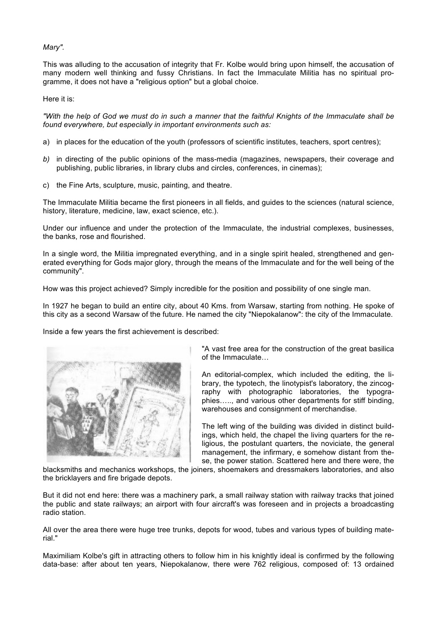*Mary".*

This was alluding to the accusation of integrity that Fr. Kolbe would bring upon himself, the accusation of many modern well thinking and fussy Christians. In fact the Immaculate Militia has no spiritual programme, it does not have a "religious option" but a global choice.

Here it is:

*"With the help of God we must do in such a manner that the faithful Knights of the Immaculate shall be found everywhere, but especially in important environments such as:*

- a) in places for the education of the youth (professors of scientific institutes, teachers, sport centres);
- *b)* in directing of the public opinions of the mass-media (magazines, newspapers, their coverage and publishing, public libraries, in library clubs and circles, conferences, in cinemas);
- c) the Fine Arts, sculpture, music, painting, and theatre.

The Immaculate Militia became the first pioneers in all fields, and guides to the sciences (natural science, history, literature, medicine, law, exact science, etc.).

Under our influence and under the protection of the Immaculate, the industrial complexes, businesses, the banks, rose and flourished.

In a single word, the Militia impregnated everything, and in a single spirit healed, strengthened and generated everything for Gods major glory, through the means of the Immaculate and for the well being of the community".

How was this project achieved? Simply incredible for the position and possibility of one single man.

In 1927 he began to build an entire city, about 40 Kms. from Warsaw, starting from nothing. He spoke of this city as a second Warsaw of the future. He named the city "Niepokalanow": the city of the Immaculate.

Inside a few years the first achievement is described:



"A vast free area for the construction of the great basilica of the Immaculate…

An editorial-complex, which included the editing, the library, the typotech, the linotypist's laboratory, the zincography with photographic laboratories, the typographies….., and various other departments for stiff binding, warehouses and consignment of merchandise.

The left wing of the building was divided in distinct buildings, which held, the chapel the living quarters for the religious, the postulant quarters, the noviciate, the general management, the infirmary, e somehow distant from these, the power station. Scattered here and there were, the

blacksmiths and mechanics workshops, the joiners, shoemakers and dressmakers laboratories, and also the bricklayers and fire brigade depots.

But it did not end here: there was a machinery park, a small railway station with railway tracks that joined the public and state railways; an airport with four aircraft's was foreseen and in projects a broadcasting radio station.

All over the area there were huge tree trunks, depots for wood, tubes and various types of building material."

Maximiliam Kolbe's gift in attracting others to follow him in his knightly ideal is confirmed by the following data-base: after about ten years, Niepokalanow, there were 762 religious, composed of: 13 ordained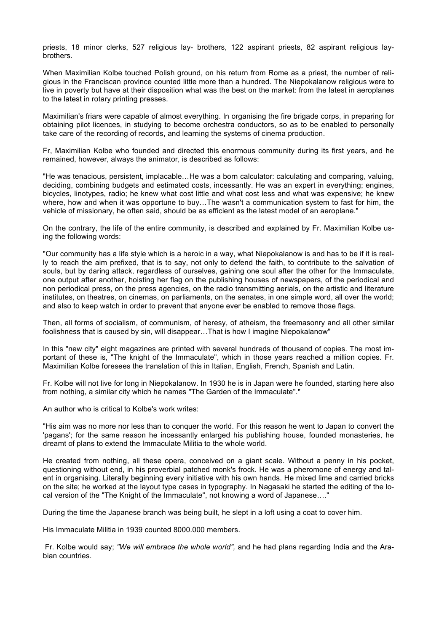priests, 18 minor clerks, 527 religious lay- brothers, 122 aspirant priests, 82 aspirant religious laybrothers.

When Maximilian Kolbe touched Polish ground, on his return from Rome as a priest, the number of religious in the Franciscan province counted little more than a hundred. The Niepokalanow religious were to live in poverty but have at their disposition what was the best on the market: from the latest in aeroplanes to the latest in rotary printing presses.

Maximilian's friars were capable of almost everything. In organising the fire brigade corps, in preparing for obtaining pilot licences, in studying to become orchestra conductors, so as to be enabled to personally take care of the recording of records, and learning the systems of cinema production.

Fr, Maximilian Kolbe who founded and directed this enormous community during its first years, and he remained, however, always the animator, is described as follows:

"He was tenacious, persistent, implacable…He was a born calculator: calculating and comparing, valuing, deciding, combining budgets and estimated costs, incessantly. He was an expert in everything; engines, bicycles, linotypes, radio; he knew what cost little and what cost less and what was expensive; he knew where, how and when it was opportune to buy…The wasn't a communication system to fast for him, the vehicle of missionary, he often said, should be as efficient as the latest model of an aeroplane."

On the contrary, the life of the entire community, is described and explained by Fr. Maximilian Kolbe using the following words:

"Our community has a life style which is a heroic in a way, what Niepokalanow is and has to be if it is really to reach the aim prefixed, that is to say, not only to defend the faith, to contribute to the salvation of souls, but by daring attack, regardless of ourselves, gaining one soul after the other for the Immaculate, one output after another, hoisting her flag on the publishing houses of newspapers, of the periodical and non periodical press, on the press agencies, on the radio transmitting aerials, on the artistic and literature institutes, on theatres, on cinemas, on parliaments, on the senates, in one simple word, all over the world; and also to keep watch in order to prevent that anyone ever be enabled to remove those flags.

Then, all forms of socialism, of communism, of heresy, of atheism, the freemasonry and all other similar foolishness that is caused by sin, will disappear…That is how I imagine Niepokalanow"

In this "new city" eight magazines are printed with several hundreds of thousand of copies. The most important of these is, "The knight of the Immaculate", which in those years reached a million copies. Fr. Maximilian Kolbe foresees the translation of this in Italian, English, French, Spanish and Latin.

Fr. Kolbe will not live for long in Niepokalanow. In 1930 he is in Japan were he founded, starting here also from nothing, a similar city which he names "The Garden of the Immaculate"."

An author who is critical to Kolbe's work writes:

"His aim was no more nor less than to conquer the world. For this reason he went to Japan to convert the 'pagans'; for the same reason he incessantly enlarged his publishing house, founded monasteries, he dreamt of plans to extend the Immaculate Militia to the whole world.

He created from nothing, all these opera, conceived on a giant scale. Without a penny in his pocket, questioning without end, in his proverbial patched monk's frock. He was a pheromone of energy and talent in organising. Literally beginning every initiative with his own hands. He mixed lime and carried bricks on the site; he worked at the layout type cases in typography. In Nagasaki he started the editing of the local version of the "The Knight of the Immaculate", not knowing a word of Japanese…."

During the time the Japanese branch was being built, he slept in a loft using a coat to cover him.

His Immaculate Militia in 1939 counted 8000.000 members.

Fr. Kolbe would say; *"We will embrace the whole world",* and he had plans regarding India and the Arabian countries.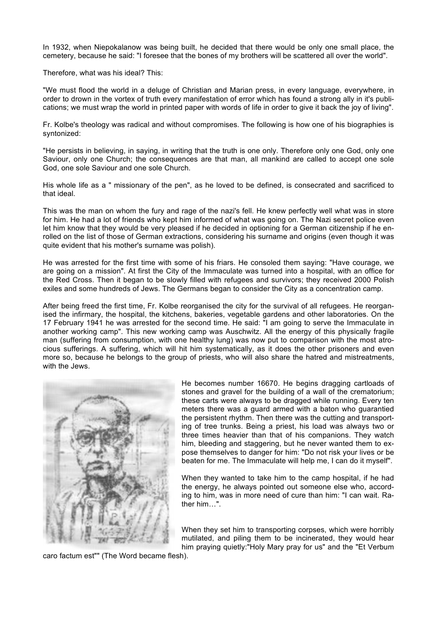In 1932, when Niepokalanow was being built, he decided that there would be only one small place, the cemetery, because he said: "I foresee that the bones of my brothers will be scattered all over the world".

Therefore, what was his ideal? This:

"We must flood the world in a deluge of Christian and Marian press, in every language, everywhere, in order to drown in the vortex of truth every manifestation of error which has found a strong ally in it's publications; we must wrap the world in printed paper with words of life in order to give it back the joy of living".

Fr. Kolbe's theology was radical and without compromises. The following is how one of his biographies is syntonized:

"He persists in believing, in saying, in writing that the truth is one only. Therefore only one God, only one Saviour, only one Church; the consequences are that man, all mankind are called to accept one sole God, one sole Saviour and one sole Church.

His whole life as a " missionary of the pen", as he loved to be defined, is consecrated and sacrificed to that ideal.

This was the man on whom the fury and rage of the nazi's fell. He knew perfectly well what was in store for him. He had a lot of friends who kept him informed of what was going on. The Nazi secret police even let him know that they would be very pleased if he decided in optioning for a German citizenship if he enrolled on the list of those of German extractions, considering his surname and origins (even though it was quite evident that his mother's surname was polish).

He was arrested for the first time with some of his friars. He consoled them saying: "Have courage, we are going on a mission". At first the City of the Immaculate was turned into a hospital, with an office for the Red Cross. Then it began to be slowly filled with refugees and survivors; they received 2000 Polish exiles and some hundreds of Jews. The Germans began to consider the City as a concentration camp.

After being freed the first time, Fr. Kolbe reorganised the city for the survival of all refugees. He reorganised the infirmary, the hospital, the kitchens, bakeries, vegetable gardens and other laboratories. On the 17 February 1941 he was arrested for the second time. He said: "I am going to serve the Immaculate in another working camp". This new working camp was Auschwitz. All the energy of this physically fragile man (suffering from consumption, with one healthy lung) was now put to comparison with the most atrocious sufferings. A suffering, which will hit him systematically, as it does the other prisoners and even more so, because he belongs to the group of priests, who will also share the hatred and mistreatments, with the Jews.



He becomes number 16670. He begins dragging cartloads of stones and gravel for the building of a wall of the crematorium; these carts were always to be dragged while running. Every ten meters there was a guard armed with a baton who guarantied the persistent rhythm. Then there was the cutting and transporting of tree trunks. Being a priest, his load was always two or three times heavier than that of his companions. They watch him, bleeding and staggering, but he never wanted them to expose themselves to danger for him: "Do not risk your lives or be beaten for me. The Immaculate will help me, I can do it myself".

When they wanted to take him to the camp hospital, if he had the energy, he always pointed out someone else who, according to him, was in more need of cure than him: "I can wait. Rather him…".

When they set him to transporting corpses, which were horribly mutilated, and piling them to be incinerated, they would hear him praying quietly:"Holy Mary pray for us" and the "Et Verbum

caro factum est"" (The Word became flesh).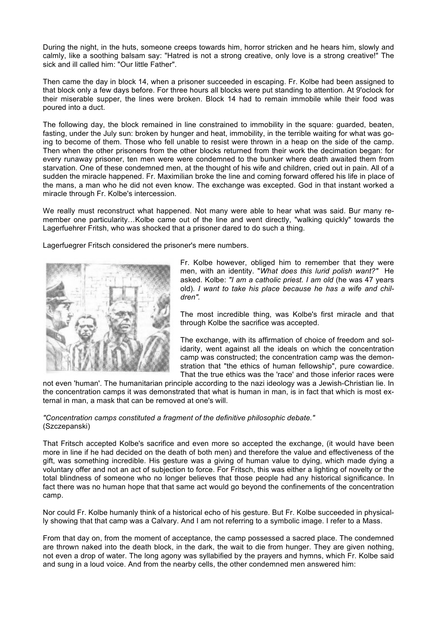During the night, in the huts, someone creeps towards him, horror stricken and he hears him, slowly and calmly, like a soothing balsam say: "Hatred is not a strong creative, only love is a strong creative!" The sick and ill called him: "Our little Father".

Then came the day in block 14, when a prisoner succeeded in escaping. Fr. Kolbe had been assigned to that block only a few days before. For three hours all blocks were put standing to attention. At 9'oclock for their miserable supper, the lines were broken. Block 14 had to remain immobile while their food was poured into a duct.

The following day, the block remained in line constrained to immobility in the square: guarded, beaten, fasting, under the July sun: broken by hunger and heat, immobility, in the terrible waiting for what was going to become of them. Those who fell unable to resist were thrown in a heap on the side of the camp. Then when the other prisoners from the other blocks returned from their work the decimation began: for every runaway prisoner, ten men were were condemned to the bunker where death awaited them from starvation. One of these condemned men, at the thought of his wife and children, cried out in pain. All of a sudden the miracle happened. Fr. Maximilian broke the line and coming forward offered his life in place of the mans, a man who he did not even know. The exchange was excepted. God in that instant worked a miracle through Fr. Kolbe's intercession.

We really must reconstruct what happened. Not many were able to hear what was said. Bur many remember one particularity...Kolbe came out of the line and went directly, "walking quickly" towards the Lagerfuehrer Fritsh, who was shocked that a prisoner dared to do such a thing.

Lagerfuegrer Fritsch considered the prisoner's mere numbers.



Fr. Kolbe however, obliged him to remember that they were men, with an identity. "*What does this lurid polish want?"* He asked. Kolbe: *"I am a catholic priest. I am old* (he was 47 years old)*. I want to take his place because he has a wife and children".*

The most incredible thing, was Kolbe's first miracle and that through Kolbe the sacrifice was accepted.

The exchange, with its affirmation of choice of freedom and solidarity, went against all the ideals on which the concentration camp was constructed; the concentration camp was the demonstration that "the ethics of human fellowship", pure cowardice. That the true ethics was the 'race' and those inferior races were

not even 'human'. The humanitarian principle according to the nazi ideology was a Jewish-Christian lie. In the concentration camps it was demonstrated that what is human in man, is in fact that which is most external in man, a mask that can be removed at one's will.

*"Concentration camps constituted a fragment of the definitive philosophic debate."* (Szczepanski)

That Fritsch accepted Kolbe's sacrifice and even more so accepted the exchange, (it would have been more in line if he had decided on the death of both men) and therefore the value and effectiveness of the gift, was something incredible. His gesture was a giving of human value to dying, which made dying a voluntary offer and not an act of subjection to force. For Fritsch, this was either a lighting of novelty or the total blindness of someone who no longer believes that those people had any historical significance. In fact there was no human hope that that same act would go beyond the confinements of the concentration camp.

Nor could Fr. Kolbe humanly think of a historical echo of his gesture. But Fr. Kolbe succeeded in physically showing that that camp was a Calvary. And I am not referring to a symbolic image. I refer to a Mass.

From that day on, from the moment of acceptance, the camp possessed a sacred place. The condemned are thrown naked into the death block, in the dark, the wait to die from hunger. They are given nothing, not even a drop of water. The long agony was syllabified by the prayers and hymns, which Fr. Kolbe said and sung in a loud voice. And from the nearby cells, the other condemned men answered him: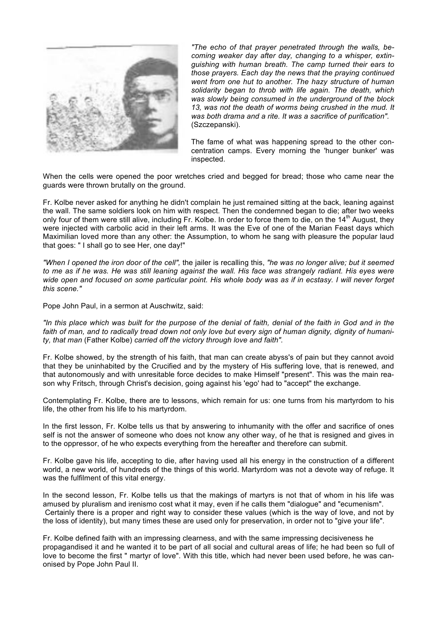

*"The echo of that prayer penetrated through the walls, becoming weaker day after day, changing to a whisper, extinguishing with human breath. The camp turned their ears to those prayers. Each day the news that the praying continued went from one hut to another. The hazy structure of human solidarity began to throb with life again. The death, which was slowly being consumed in the underground of the block 13, was not the death of worms being crushed in the mud. It was both drama and a rite. It was a sacrifice of purification".*  (Szczepanski).

The fame of what was happening spread to the other concentration camps. Every morning the 'hunger bunker' was inspected.

When the cells were opened the poor wretches cried and begged for bread; those who came near the guards were thrown brutally on the ground.

Fr. Kolbe never asked for anything he didn't complain he just remained sitting at the back, leaning against the wall. The same soldiers look on him with respect. Then the condemned began to die; after two weeks only four of them were still alive, including Fr. Kolbe. In order to force them to die, on the  $14<sup>th</sup>$  August, they were injected with carbolic acid in their left arms. It was the Eve of one of the Marian Feast days which Maximilian loved more than any other: the Assumption, to whom he sang with pleasure the popular laud that goes: " I shall go to see Her, one day!"

*"When I opened the iron door of the cell",* the jailer is recalling this, *"he was no longer alive; but it seemed*  to me as if he was. He was still leaning against the wall. His face was strangely radiant. His eyes were wide open and focused on some particular point. His whole body was as if in ecstasy. I will never forget *this scene."*

Pope John Paul, in a sermon at Auschwitz, said:

*"In this place which was built for the purpose of the denial of faith, denial of the faith in God and in the faith of man, and to radically tread down not only love but every sign of human dignity, dignity of humanity, that man* (Father Kolbe) *carried off the victory through love and faith".*

Fr. Kolbe showed, by the strength of his faith, that man can create abyss's of pain but they cannot avoid that they be uninhabited by the Crucified and by the mystery of His suffering love, that is renewed, and that autonomously and with unresitable force decides to make Himself "present". This was the main reason why Fritsch, through Christ's decision, going against his 'ego' had to "accept" the exchange.

Contemplating Fr. Kolbe, there are to lessons, which remain for us: one turns from his martyrdom to his life, the other from his life to his martyrdom.

In the first lesson, Fr. Kolbe tells us that by answering to inhumanity with the offer and sacrifice of ones self is not the answer of someone who does not know any other way, of he that is resigned and gives in to the oppressor, of he who expects everything from the hereafter and therefore can submit.

Fr. Kolbe gave his life, accepting to die, after having used all his energy in the construction of a different world, a new world, of hundreds of the things of this world. Martyrdom was not a devote way of refuge. It was the fulfilment of this vital energy.

In the second lesson, Fr. Kolbe tells us that the makings of martyrs is not that of whom in his life was amused by pluralism and irenismo cost what it may, even if he calls them "dialogue" and "ecumenism". Certainly there is a proper and right way to consider these values (which is the way of love, and not by the loss of identity), but many times these are used only for preservation, in order not to "give your life".

Fr. Kolbe defined faith with an impressing clearness, and with the same impressing decisiveness he propagandised it and he wanted it to be part of all social and cultural areas of life; he had been so full of love to become the first " martyr of love". With this title, which had never been used before, he was canonised by Pope John Paul II.